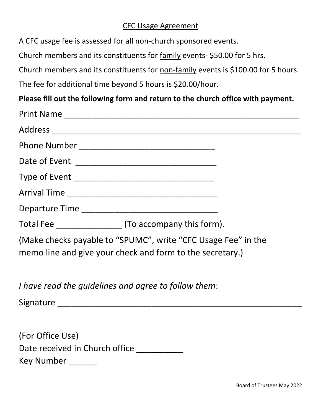## CFC Usage Agreement

A CFC usage fee is assessed for all non-church sponsored events.

Church members and its constituents for family events- \$50.00 for 5 hrs.

Church members and its constituents for non-family events is \$100.00 for 5 hours.

The fee for additional time beyond 5 hours is \$20.00/hour.

# **Please fill out the following form and return to the church office with payment.**

| Total Fee (To accompany this form).                                                                                        |  |
|----------------------------------------------------------------------------------------------------------------------------|--|
| (Make checks payable to "SPUMC", write "CFC Usage Fee" in the<br>memo line and give your check and form to the secretary.) |  |

*I have read the guidelines and agree to follow them*:

Signature \_\_\_\_\_\_\_\_\_\_\_\_\_\_\_\_\_\_\_\_\_\_\_\_\_\_\_\_\_\_\_\_\_\_\_\_\_\_\_\_\_\_\_\_\_\_\_\_\_\_\_\_

| (For Office Use)               |
|--------------------------------|
| Date received in Church office |
| Key Number                     |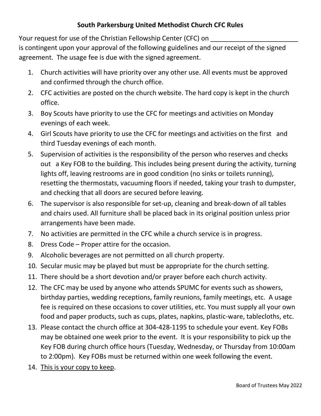### **South Parkersburg United Methodist Church CFC Rules**

Your request for use of the Christian Fellowship Center (CFC) on is contingent upon your approval of the following guidelines and our receipt of the signed agreement. The usage fee is due with the signed agreement.

- 1. Church activities will have priority over any other use. All events must be approved and confirmed through the church office.
- 2. CFC activities are posted on the church website. The hard copy is kept in the church office.
- 3. Boy Scouts have priority to use the CFC for meetings and activities on Monday evenings of each week.
- 4. Girl Scouts have priority to use the CFC for meetings and activities on the first and third Tuesday evenings of each month.
- 5. Supervision of activities is the responsibility of the person who reserves and checks out a Key FOB to the building. This includes being present during the activity, turning lights off, leaving restrooms are in good condition (no sinks or toilets running), resetting the thermostats, vacuuming floors if needed, taking your trash to dumpster, and checking that all doors are secured before leaving.
- 6. The supervisor is also responsible for set-up, cleaning and break-down of all tables and chairs used. All furniture shall be placed back in its original position unless prior arrangements have been made.
- 7. No activities are permitted in the CFC while a church service is in progress.
- 8. Dress Code Proper attire for the occasion.
- 9. Alcoholic beverages are not permitted on all church property.
- 10. Secular music may be played but must be appropriate for the church setting.
- 11. There should be a short devotion and/or prayer before each church activity.
- 12. The CFC may be used by anyone who attends SPUMC for events such as showers, birthday parties, wedding receptions, family reunions, family meetings, etc. A usage fee is required on these occasions to cover utilities, etc. You must supply all your own food and paper products, such as cups, plates, napkins, plastic-ware, tablecloths, etc.
- 13. Please contact the church office at 304-428-1195 to schedule your event. Key FOBs may be obtained one week prior to the event. It is your responsibility to pick up the Key FOB during church office hours (Tuesday, Wednesday, or Thursday from 10:00am to 2:00pm). Key FOBs must be returned within one week following the event.
- 14. This is your copy to keep.